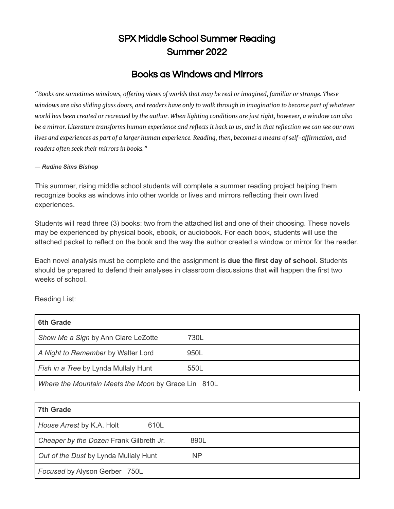# SPX Middle School Summer Reading Summer 2022

## Books as Windows and Mirrors

"Books are sometimes windows, offering views of worlds that may be real or imagined, familiar or strange. These windows are also sliding glass doors, and readers have only to walk through in imagination to become part of whatever world has been created or recreated by the author. When lighting conditions are just right, however, a window can also be a mirror. Literature transforms human experience and reflects it back to us, and in that reflection we can see our own lives and experiences as part of a larger human experience. Reading, then, becomes a means of self-affirmation, and *readers often seek their mirrors in books."*

#### *― Rudine Sims Bishop*

This summer, rising middle school students will complete a summer reading project helping them recognize books as windows into other worlds or lives and mirrors reflecting their own lived experiences.

Students will read three (3) books: two from the attached list and one of their choosing. These novels may be experienced by physical book, ebook, or audiobook. For each book, students will use the attached packet to reflect on the book and the way the author created a window or mirror for the reader.

Each novel analysis must be complete and the assignment is **due the first day of school.** Students should be prepared to defend their analyses in classroom discussions that will happen the first two weeks of school.

Reading List:

| <b>6th Grade</b>                                    |      |  |
|-----------------------------------------------------|------|--|
| Show Me a Sign by Ann Clare LeZotte                 | 730L |  |
| A Night to Remember by Walter Lord                  | 950L |  |
| Fish in a Tree by Lynda Mullaly Hunt                | 550L |  |
| Where the Mountain Meets the Moon by Grace Lin 810L |      |  |

| <b>7th Grade</b>                        |      |
|-----------------------------------------|------|
| House Arrest by K.A. Holt<br>610L       |      |
| Cheaper by the Dozen Frank Gilbreth Jr. | 890L |
| Out of the Dust by Lynda Mullaly Hunt   | NP   |
| Focused by Alyson Gerber 750L           |      |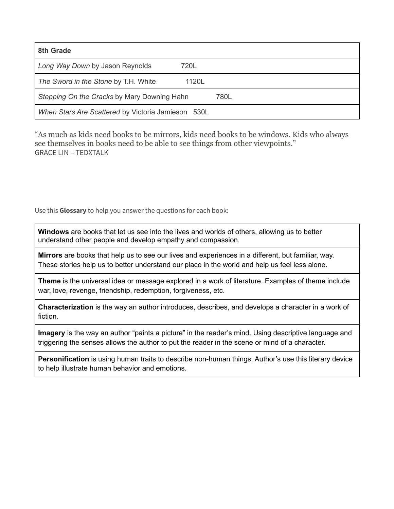| 8th Grade                                           |       |  |  |
|-----------------------------------------------------|-------|--|--|
| Long Way Down by Jason Reynolds                     | 720L  |  |  |
| The Sword in the Stone by T.H. White                | 1120L |  |  |
| Stepping On the Cracks by Mary Downing Hahn<br>780L |       |  |  |
| When Stars Are Scattered by Victoria Jamieson 530L  |       |  |  |

"As much as kids need books to be mirrors, kids need books to be windows. Kids who always see themselves in books need to be able to see things from other viewpoints." GRACE LIN – TEDXTALK

Use this **Glossary** to help you answer the questions for each book:

**Windows** are books that let us see into the lives and worlds of others, allowing us to better understand other people and develop empathy and compassion.

**Mirrors** are books that help us to see our lives and experiences in a different, but familiar, way. These stories help us to better understand our place in the world and help us feel less alone.

**Theme** is the universal idea or message explored in a work of literature. Examples of theme include war, love, revenge, friendship, redemption, forgiveness, etc.

**Characterization** is the way an author introduces, describes, and develops a character in a work of fiction.

**Imagery** is the way an author "paints a picture" in the reader's mind. Using descriptive language and triggering the senses allows the author to put the reader in the scene or mind of a character.

**Personification** is using human traits to describe non-human things. Author's use this literary device to help illustrate human behavior and emotions.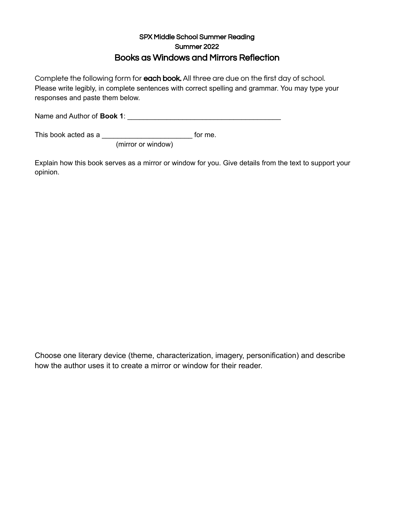### SPX Middle School Summer Reading Summer 2022 Books as Windows and Mirrors Reflection

Complete the following form for each book. All three are due on the first day of school. Please write legibly, in complete sentences with correct spelling and grammar. You may type your responses and paste them below.

Name and Author of **Book 1**: \_\_\_\_\_\_\_\_\_\_\_\_\_\_\_\_\_\_\_\_\_\_\_\_\_\_\_\_\_\_\_\_\_\_\_\_\_\_\_

This book acted as a \_\_\_\_\_\_\_\_\_\_\_\_\_\_\_\_\_\_\_\_\_\_\_ for me.

(mirror or window)

Explain how this book serves as a mirror or window for you. Give details from the text to support your opinion.

Choose one literary device (theme, characterization, imagery, personification) and describe how the author uses it to create a mirror or window for their reader.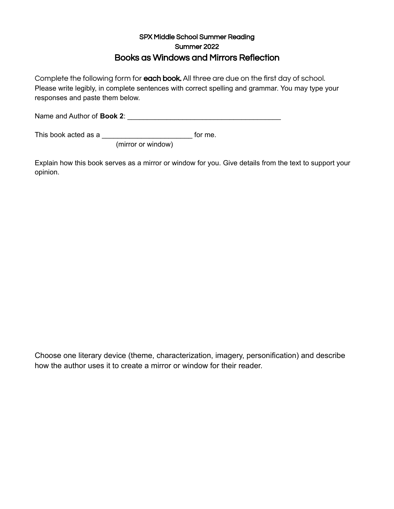### SPX Middle School Summer Reading Summer 2022 Books as Windows and Mirrors Reflection

Complete the following form for each book. All three are due on the first day of school. Please write legibly, in complete sentences with correct spelling and grammar. You may type your responses and paste them below.

Name and Author of **Book 2**: \_\_\_\_\_\_\_\_\_\_\_\_\_\_\_\_\_\_\_\_\_\_\_\_\_\_\_\_\_\_\_\_\_\_\_\_\_\_\_

This book acted as a \_\_\_\_\_\_\_\_\_\_\_\_\_\_\_\_\_\_\_\_\_\_\_ for me.

(mirror or window)

Explain how this book serves as a mirror or window for you. Give details from the text to support your opinion.

Choose one literary device (theme, characterization, imagery, personification) and describe how the author uses it to create a mirror or window for their reader.